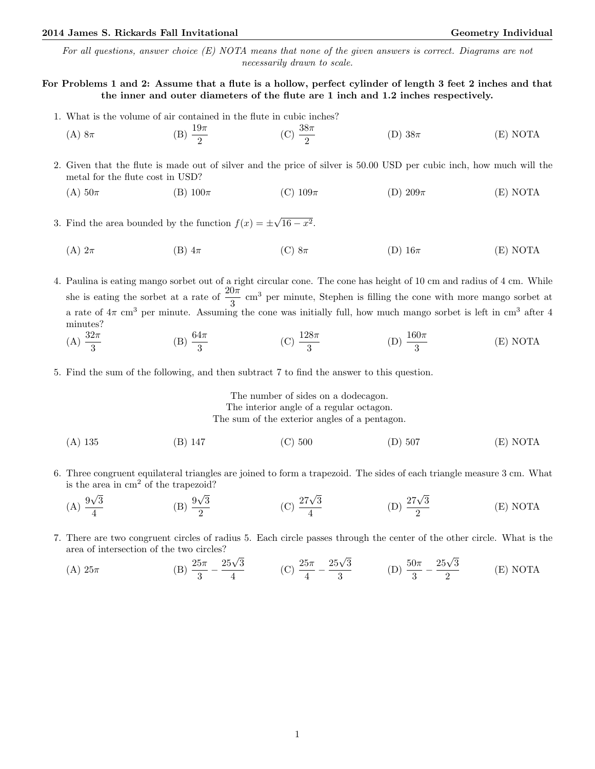## 2014 James S. Rickards Fall Invitational Christian Communication Ceometry Individual Geometry Individual

For all questions, answer choice (E) NOTA means that none of the given answers is correct. Diagrams are not necessarily drawn to scale.

# For Problems 1 and 2: Assume that a flute is a hollow, perfect cylinder of length 3 feet 2 inches and that the inner and outer diameters of the flute are 1 inch and 1.2 inches respectively.

- 1. What is the volume of air contained in the flute in cubic inches?
	- (A)  $8\pi$  (B)  $\frac{19\pi}{2}$ (C)  $\frac{38\pi}{2}$ (D)  $38\pi$  (E) NOTA
- 2. Given that the flute is made out of silver and the price of silver is 50.00 USD per cubic inch, how much will the metal for the flute cost in USD?
	- (A)  $50\pi$  (B)  $100\pi$  (C)  $109\pi$  (D)  $209\pi$  (E) NOTA
- 3. Find the area bounded by the function  $f(x) = \pm$ √  $\overline{16-x^2}$ .
	- (A)  $2\pi$  (B)  $4\pi$  (C)  $8\pi$  (D)  $16\pi$  (E) NOTA
- 4. Paulina is eating mango sorbet out of a right circular cone. The cone has height of 10 cm and radius of 4 cm. While she is eating the sorbet at a rate of  $\frac{20\pi}{3}$  cm<sup>3</sup> per minute, Stephen is filling the cone with more mango sorbet at a rate of  $4\pi$  cm<sup>3</sup> per minute. Assuming the cone was initially full, how much mango sorbet is left in cm<sup>3</sup> after 4 minutes?
	- (A)  $\frac{32\pi}{3}$ (B)  $\frac{64\pi}{3}$ (C)  $\frac{128\pi}{3}$ (D)  $\frac{160\pi}{3}$ (E) NOTA
- 5. Find the sum of the following, and then subtract 7 to find the answer to this question.

The number of sides on a dodecagon. The interior angle of a regular octagon. The sum of the exterior angles of a pentagon.

- (A) 135 (B) 147 (C) 500 (D) 507 (E) NOTA
- 6. Three congruent equilateral triangles are joined to form a trapezoid. The sides of each triangle measure 3 cm. What is the area in  $\text{cm}^2$  of the trapezoid?
	- $(A) \frac{9}{4}$ √ 3 4  $(B)$   $\frac{9}{-}$ √ 3 2 (C)  $\frac{27\sqrt{3}}{4}$ 4 (D)  $\frac{27\sqrt{3}}{2}$ 2 (E) NOTA
- 7. There are two congruent circles of radius 5. Each circle passes through the center of the other circle. What is the area of intersection of the two circles?

(A) 25
$$
\pi
$$
 (B)  $\frac{25\pi}{3} - \frac{25\sqrt{3}}{4}$  (C)  $\frac{25\pi}{4} - \frac{25\sqrt{3}}{3}$  (D)  $\frac{50\pi}{3} - \frac{25\sqrt{3}}{2}$  (E) NOTA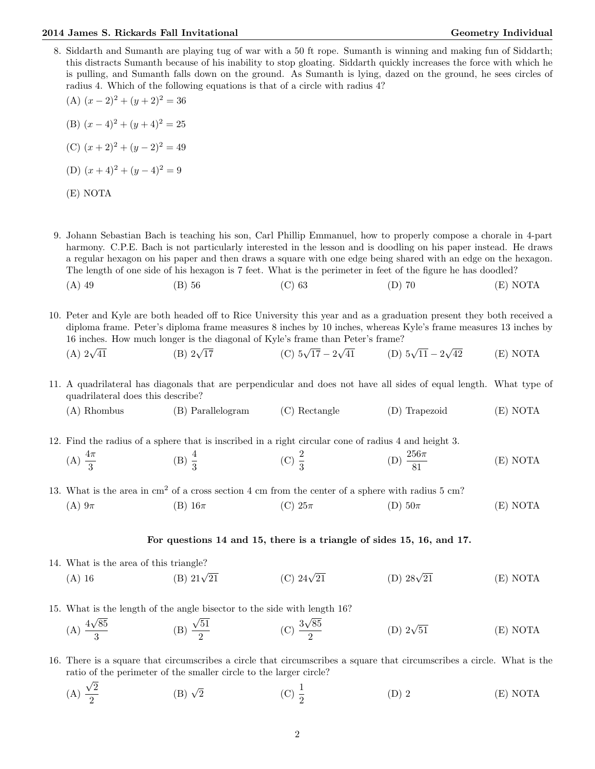#### 2014 James S. Rickards Fall Invitational Christian Communication Ceometry Individual Geometry Individual

- 8. Siddarth and Sumanth are playing tug of war with a 50 ft rope. Sumanth is winning and making fun of Siddarth; this distracts Sumanth because of his inability to stop gloating. Siddarth quickly increases the force with which he is pulling, and Sumanth falls down on the ground. As Sumanth is lying, dazed on the ground, he sees circles of radius 4. Which of the following equations is that of a circle with radius 4?
	- (A)  $(x-2)^2 + (y+2)^2 = 36$ (B)  $(x-4)^2 + (y+4)^2 = 25$ (C)  $(x+2)^2 + (y-2)^2 = 49$
	- (D)  $(x+4)^2 + (y-4)^2 = 9$

|--|--|

- 9. Johann Sebastian Bach is teaching his son, Carl Phillip Emmanuel, how to properly compose a chorale in 4-part harmony. C.P.E. Bach is not particularly interested in the lesson and is doodling on his paper instead. He draws a regular hexagon on his paper and then draws a square with one edge being shared with an edge on the hexagon. The length of one side of his hexagon is 7 feet. What is the perimeter in feet of the figure he has doodled?
	- (A) 49 (B) 56 (C) 63 (D) 70 (E) NOTA

10. Peter and Kyle are both headed off to Rice University this year and as a graduation present they both received a diploma frame. Peter's diploma frame measures 8 inches by 10 inches, whereas Kyle's frame measures 13 inches by 16 inches. How much longer is the diagonal of Kyle's frame than Peter's frame? √

(A) 
$$
2\sqrt{41}
$$
 (B)  $2\sqrt{17}$  (C)  $5\sqrt{17} - 2\sqrt{41}$  (D)  $5\sqrt{11} - 2\sqrt{42}$  (E) NOTA

- 11. A quadrilateral has diagonals that are perpendicular and does not have all sides of equal length. What type of quadrilateral does this describe?
	- (A) Rhombus (B) Parallelogram (C) Rectangle (D) Trapezoid (E) NOTA

12. Find the radius of a sphere that is inscribed in a right circular cone of radius 4 and height 3.

- (A)  $\frac{4\pi}{3}$ (B)  $\frac{4}{3}$ (C)  $\frac{2}{3}$ (D)  $\frac{256\pi}{81}$ (E) NOTA
- 13. What is the area in cm<sup>2</sup> of a cross section 4 cm from the center of a sphere with radius 5 cm?
	- (A)  $9\pi$  (B)  $16\pi$  (C)  $25\pi$  (D)  $50\pi$  (E) NOTA

### For questions 14 and 15, there is a triangle of sides 15, 16, and 17.

- 14. What is the area of this triangle? (A) 16 (B)  $21\sqrt{21}$ (C)  $24\sqrt{21}$ (D)  $28\sqrt{21}$ (E) NOTA
- 15. What is the length of the angle bisector to the side with length 16?

(A) 
$$
\frac{4\sqrt{85}}{3}
$$
 (B)  $\frac{\sqrt{51}}{2}$  (C)  $\frac{3\sqrt{85}}{2}$  (D)  $2\sqrt{51}$  (E) NOTA

- 16. There is a square that circumscribes a circle that circumscribes a square that circumscribes a circle. What is the ratio of the perimeter of the smaller circle to the larger circle? √
	- (A) 2 2 (B)  $\sqrt{2}$  $\frac{1}{2}$  (C)  $\frac{1}{2}$ (D) 2 (E) NOTA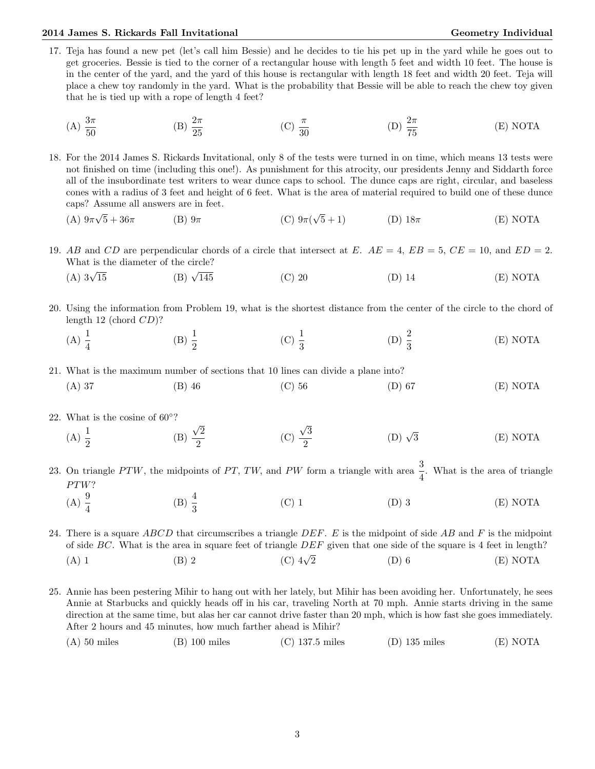## 2014 James S. Rickards Fall Invitational Christian Communication Ceometry Individual Geometry Individual

- 17. Teja has found a new pet (let's call him Bessie) and he decides to tie his pet up in the yard while he goes out to get groceries. Bessie is tied to the corner of a rectangular house with length 5 feet and width 10 feet. The house is in the center of the yard, and the yard of this house is rectangular with length 18 feet and width 20 feet. Teja will place a chew toy randomly in the yard. What is the probability that Bessie will be able to reach the chew toy given that he is tied up with a rope of length 4 feet?
	- (A)  $\frac{3\pi}{50}$ (B)  $\frac{2\pi}{25}$ (C)  $\frac{\pi}{30}$ (D)  $\frac{2\pi}{75}$ (E) NOTA
- 18. For the 2014 James S. Rickards Invitational, only 8 of the tests were turned in on time, which means 13 tests were not finished on time (including this one!). As punishment for this atrocity, our presidents Jenny and Siddarth force all of the insubordinate test writers to wear dunce caps to school. The dunce caps are right, circular, and baseless cones with a radius of 3 feet and height of 6 feet. What is the area of material required to build one of these dunce caps? Assume all answers are in feet.
	- $(A)9\pi$ √  $5 + 36\pi$  (B)  $9\pi$  (C)  $9\pi$  (C) √  $(D)$  18 $\pi$  (E) NOTA
- 19. AB and CD are perpendicular chords of a circle that intersect at E.  $AE = 4$ ,  $EB = 5$ ,  $CE = 10$ , and  $ED = 2$ . What is the diameter of the circle?
	- $(A)$  3 $\sqrt{15}$ (B)  $\sqrt{145}$ (C) 20 (D) 14 (E) NOTA
- 20. Using the information from Problem 19, what is the shortest distance from the center of the circle to the chord of length 12 (chord CD)?
	- (A)  $\frac{1}{4}$ (B)  $\frac{1}{2}$ (C)  $\frac{1}{3}$ (D)  $\frac{2}{3}$ (E) NOTA
- 21. What is the maximum number of sections that 10 lines can divide a plane into?
	- (A) 37 (B) 46 (C) 56 (D) 67 (E) NOTA
- 22. What is the cosine of  $60°$ ?
	- (A)  $\frac{1}{2}$ (B) √ 2 2 (C) √ 3 2 (D)  $\sqrt{3}$  $(E) NOTA$
- 23. On triangle PTW, the midpoints of PT, TW, and PW form a triangle with area  $\frac{3}{4}$ . What is the area of triangle  $PTW$ ?
	- (A)  $\frac{9}{4}$ (B)  $\frac{4}{3}$ (C) 1 (D) 3 (E) NOTA

24. There is a square  $ABCD$  that circumscribes a triangle  $DEF$ . E is the midpoint of side AB and F is the midpoint of side  $BC$ . What is the area in square feet of triangle  $DEF$  given that one side of the square is 4 feet in length? (A) 1 (B) 2 (C) 4√ (C)  $4\sqrt{2}$  (D) 6 (E) NOTA

- 25. Annie has been pestering Mihir to hang out with her lately, but Mihir has been avoiding her. Unfortunately, he sees Annie at Starbucks and quickly heads off in his car, traveling North at 70 mph. Annie starts driving in the same direction at the same time, but alas her car cannot drive faster than 20 mph, which is how fast she goes immediately. After 2 hours and 45 minutes, how much farther ahead is Mihir?
	- (A) 50 miles (B) 100 miles (C) 137.5 miles (D) 135 miles (E) NOTA